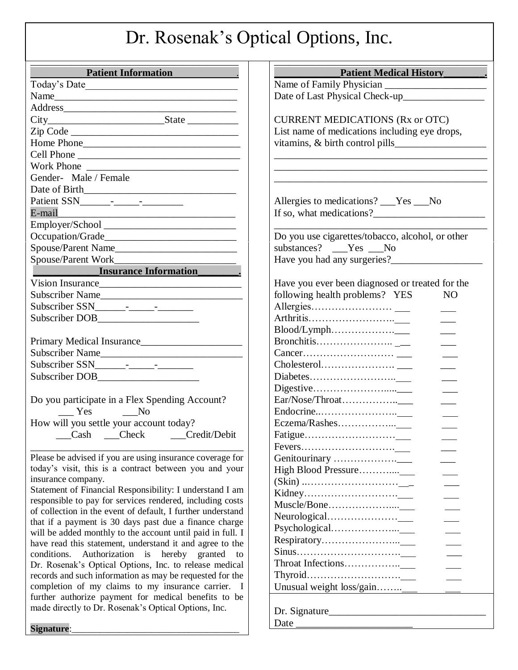## Dr. Rosenak's Optical Options, Inc.

| <b>Patient Information</b>                                               | <b>Patient Medical History</b>                                                    |
|--------------------------------------------------------------------------|-----------------------------------------------------------------------------------|
|                                                                          |                                                                                   |
|                                                                          |                                                                                   |
|                                                                          |                                                                                   |
|                                                                          | <b>CURRENT MEDICATIONS (Rx or OTC)</b>                                            |
|                                                                          | List name of medications including eye drops,                                     |
|                                                                          |                                                                                   |
| Cell Phone                                                               |                                                                                   |
|                                                                          |                                                                                   |
| Gender- Male / Female                                                    |                                                                                   |
|                                                                          |                                                                                   |
|                                                                          | Allergies to medications? ___Yes ___No                                            |
| E-mail                                                                   | If so, what medications?                                                          |
|                                                                          |                                                                                   |
|                                                                          | Do you use cigarettes/tobacco, alcohol, or other                                  |
|                                                                          | substances? ___Yes ___No                                                          |
|                                                                          |                                                                                   |
| <b>Insurance Information</b>                                             |                                                                                   |
| Vision Insurance                                                         | Have you ever been diagnosed or treated for the                                   |
| Subscriber Name                                                          | following health problems? YES<br>N <sub>O</sub>                                  |
|                                                                          |                                                                                   |
|                                                                          |                                                                                   |
|                                                                          | $\pmb{\text{Blood/Lymph.}}.\dots \dots \dots \dots \dots \dots \dots \dots \dots$ |
| Primary Medical Insurance                                                |                                                                                   |
| Subscriber Name                                                          |                                                                                   |
|                                                                          |                                                                                   |
|                                                                          |                                                                                   |
|                                                                          |                                                                                   |
| Do you participate in a Flex Spending Account?                           |                                                                                   |
| $\frac{1}{\sqrt{1-\frac{1}{c}}}$ Yes $\frac{1}{\sqrt{1-\frac{1}{c}}}$ No |                                                                                   |
| How will you settle your account today?                                  |                                                                                   |
| Cash Check Credit/Debit                                                  |                                                                                   |
|                                                                          |                                                                                   |
| Please be advised if you are using insurance coverage for                |                                                                                   |
| today's visit, this is a contract between you and your                   |                                                                                   |
| insurance company.                                                       |                                                                                   |
| Statement of Financial Responsibility: I understand I am                 |                                                                                   |
| responsible to pay for services rendered, including costs                |                                                                                   |
| of collection in the event of default, I further understand              |                                                                                   |
| that if a payment is 30 days past due a finance charge                   |                                                                                   |
| will be added monthly to the account until paid in full. I               |                                                                                   |
| have read this statement, understand it and agree to the                 |                                                                                   |
| conditions. Authorization is hereby granted to                           |                                                                                   |
| Dr. Rosenak's Optical Options, Inc. to release medical                   |                                                                                   |
| records and such information as may be requested for the                 |                                                                                   |
| completion of my claims to my insurance carrier. I                       | Unusual weight loss/gain                                                          |
| further authorize payment for medical benefits to be                     |                                                                                   |
| made directly to Dr. Rosenak's Optical Options, Inc.                     | Dr. Signature                                                                     |
|                                                                          |                                                                                   |
| Signature:                                                               |                                                                                   |